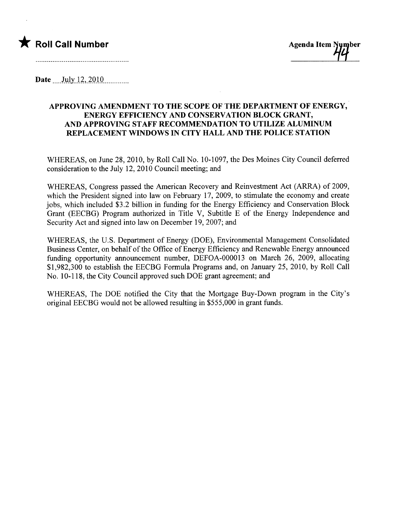

Date July  $12, 2010$ 

## APPROVING AMENDMENT TO THE SCOPE OF THE DEPARTMENT OF ENERGY, ENERGY EFFICIENCY AND CONSERVATION BLOCK GRANT, AND APPROVING STAFF RECOMMENDATION TO UTILIZE ALUMINUM REPLACEMENT WINDOWS IN CITY HALL AND THE POLICE STATION

WHEREAS, on June 28, 2010, by Roll Call No. 10-1097, the Des Moines City Council deferred consideration to the July 12,2010 Council meeting; and

WHEREAS, Congress passed the American Recovery and Reinvestment Act (ARRA) of 2009, which the President signed into law on February 17, 2009, to stimulate the economy and create jobs, which included \$3.2 billion in funding for the Energy Efficiency and Conservation Block Grant (EECBG) Program authorized in Title V, Subtitle E of the Energy Independence and Security Act and signed into law on December 19,2007; and

WHEREAS, the U.S. Deparment of Energy (DOE), Environmental Management Consolidated Business Center, on behalf of the Office of Energy Efficiency and Renewable Energy anounced funding opportunity announcement number, DEFOA-000013 on March 26, 2009, allocating \$1,982,300 to establish the EECBG Formula Programs and, on January 25,2010, by Roll Call No. 10-118, the City Council approved such DOE grant agreement; and

WHEREAS, The DOE notified the City that the Mortgage Buy-Down program in the City's original EECBG would not be allowed resulting in \$555,000 in grant funds.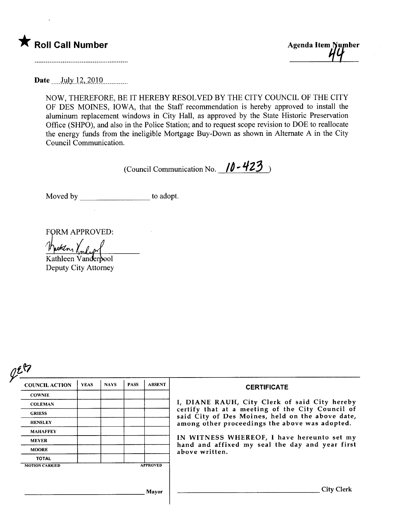



Date \_\_\_\_ July 12, 2010

NOW, THEREFORE, BE IT HEREBY RESOLVED BY THE CITY COUNCIL OF THE CITY OF DES MOINES, IOWA, that the Staff recommendation is hereby approved to install the aluminum replacement windows in City Hall, as approved by the State Historic Preservation Office (SHPO), and also in the Police Station; and to request scope revision to DOE to reallocate the energy funds from the ineligible Mortgage Buy-Down as shown in Alternate A in the City Council Communication.

(Council Communication No.  $10 - 423$ )

Moved by to adopt.

FORM APPROVED:

<u>Nutten, Venderf</u><br>Kathleen Vanderpool

Deputy City Attorney

| <b>COUNCIL ACTION</b> | <b>YEAS</b> | <b>NAYS</b> | <b>PASS</b>                                                                                          | <b>ABSENT</b>   | <b>CERTIFICATE</b>                                                |
|-----------------------|-------------|-------------|------------------------------------------------------------------------------------------------------|-----------------|-------------------------------------------------------------------|
| <b>COWNIE</b>         |             |             |                                                                                                      |                 | I, DIANE RAUH, City Clerk of said City hereby                     |
| <b>COLEMAN</b>        |             |             |                                                                                                      |                 |                                                                   |
| <b>GRIESS</b>         |             |             | certify that at a meeting of the City Council of<br>said City of Des Moines, held on the above date, |                 |                                                                   |
| <b>HENSLEY</b>        |             |             |                                                                                                      |                 | among other proceedings the above was adopted.                    |
| <b>MAHAFFEY</b>       |             |             |                                                                                                      |                 |                                                                   |
| <b>MEYER</b>          |             |             |                                                                                                      |                 | IN WITNESS WHEREOF, I have hereunto set my                        |
| <b>MOORE</b>          |             |             |                                                                                                      |                 | hand and affixed my seal the day and year first<br>above written. |
| <b>TOTAL</b>          |             |             |                                                                                                      |                 |                                                                   |
| <b>MOTION CARRIED</b> |             |             |                                                                                                      | <b>APPROVED</b> |                                                                   |
|                       |             |             |                                                                                                      |                 |                                                                   |
|                       |             |             |                                                                                                      |                 |                                                                   |
|                       |             |             |                                                                                                      | Mayor           | <b>City Clerk</b>                                                 |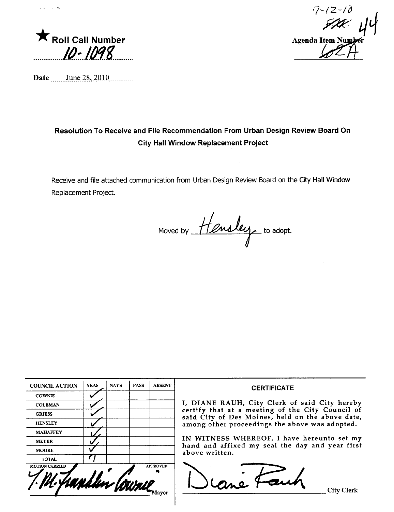

 $\Delta$ 

 $7 - 12 - 10$ Agenda Item Number

Date \_\_\_\_\_\_\_\_ June 28, 2010

## Resolution To Receive and File Recommendation From Urban Design Review Board On **City Hall Window Replacement Project**

Receive and file attached communication from Urban Design Review Board on the City Hall Window Replacement Project.

Moved by Hensley to adopt.

| <b>COUNCIL ACTION</b> | <b>YEAS</b> | <b>NAYS</b> | <b>PASS</b> | <b>ABSENT</b>   | <b>CERTIFICATE</b>                                                                                                                                                                                      |  |  |  |  |
|-----------------------|-------------|-------------|-------------|-----------------|---------------------------------------------------------------------------------------------------------------------------------------------------------------------------------------------------------|--|--|--|--|
| <b>COWNIE</b>         |             |             |             |                 |                                                                                                                                                                                                         |  |  |  |  |
| <b>COLEMAN</b>        |             |             |             |                 | I, DIANE RAUH, City Clerk of said City hereby<br>certify that at a meeting of the City Council of<br>said City of Des Moines, held on the above date,<br>among other proceedings the above was adopted. |  |  |  |  |
| <b>GRIESS</b>         |             |             |             |                 |                                                                                                                                                                                                         |  |  |  |  |
| <b>HENSLEY</b>        |             |             |             |                 |                                                                                                                                                                                                         |  |  |  |  |
| <b>MAHAFFEY</b>       |             |             |             |                 |                                                                                                                                                                                                         |  |  |  |  |
| <b>MEYER</b>          |             |             |             |                 | IN WITNESS WHEREOF, I have hereunto set my<br>hand and affixed my seal the day and year first<br>above written.                                                                                         |  |  |  |  |
| <b>MOORE</b>          |             |             |             |                 |                                                                                                                                                                                                         |  |  |  |  |
| <b>TOTAL</b>          |             |             |             |                 |                                                                                                                                                                                                         |  |  |  |  |
| <b>MOTION CARRIED</b> |             |             |             | <b>APPROVED</b> |                                                                                                                                                                                                         |  |  |  |  |
|                       |             |             |             |                 | City Clerk                                                                                                                                                                                              |  |  |  |  |
|                       |             |             |             |                 |                                                                                                                                                                                                         |  |  |  |  |
|                       |             |             |             |                 |                                                                                                                                                                                                         |  |  |  |  |
|                       |             |             |             |                 |                                                                                                                                                                                                         |  |  |  |  |